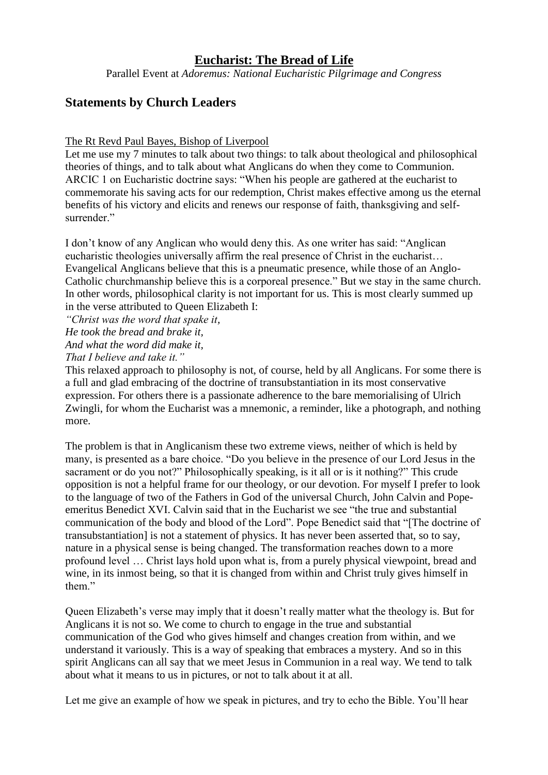# **Eucharist: The Bread of Life**

Parallel Event at *Adoremus: National Eucharistic Pilgrimage and Congress*

## **Statements by Church Leaders**

#### The Rt Revd Paul Bayes, Bishop of Liverpool

Let me use my 7 minutes to talk about two things: to talk about theological and philosophical theories of things, and to talk about what Anglicans do when they come to Communion. ARCIC 1 on Eucharistic doctrine says: "When his people are gathered at the eucharist to commemorate his saving acts for our redemption, Christ makes effective among us the eternal benefits of his victory and elicits and renews our response of faith, thanksgiving and selfsurrender."

I don't know of any Anglican who would deny this. As one writer has said: "Anglican eucharistic theologies universally affirm the real presence of Christ in the eucharist… Evangelical Anglicans believe that this is a pneumatic presence, while those of an Anglo-Catholic churchmanship believe this is a corporeal presence." But we stay in the same church. In other words, philosophical clarity is not important for us. This is most clearly summed up in the verse attributed to Queen Elizabeth I:

*"Christ was the word that spake it,*

*He took the bread and brake it,*

*And what the word did make it,*

*That I believe and take it."*

This relaxed approach to philosophy is not, of course, held by all Anglicans. For some there is a full and glad embracing of the doctrine of transubstantiation in its most conservative expression. For others there is a passionate adherence to the bare memorialising of Ulrich Zwingli, for whom the Eucharist was a mnemonic, a reminder, like a photograph, and nothing more.

The problem is that in Anglicanism these two extreme views, neither of which is held by many, is presented as a bare choice. "Do you believe in the presence of our Lord Jesus in the sacrament or do you not?" Philosophically speaking, is it all or is it nothing?" This crude opposition is not a helpful frame for our theology, or our devotion. For myself I prefer to look to the language of two of the Fathers in God of the universal Church, John Calvin and Popeemeritus Benedict XVI. Calvin said that in the Eucharist we see "the true and substantial communication of the body and blood of the Lord". Pope Benedict said that "[The doctrine of transubstantiation] is not a statement of physics. It has never been asserted that, so to say, nature in a physical sense is being changed. The transformation reaches down to a more profound level … Christ lays hold upon what is, from a purely physical viewpoint, bread and wine, in its inmost being, so that it is changed from within and Christ truly gives himself in them."

Queen Elizabeth's verse may imply that it doesn't really matter what the theology is. But for Anglicans it is not so. We come to church to engage in the true and substantial communication of the God who gives himself and changes creation from within, and we understand it variously. This is a way of speaking that embraces a mystery. And so in this spirit Anglicans can all say that we meet Jesus in Communion in a real way. We tend to talk about what it means to us in pictures, or not to talk about it at all.

Let me give an example of how we speak in pictures, and try to echo the Bible. You'll hear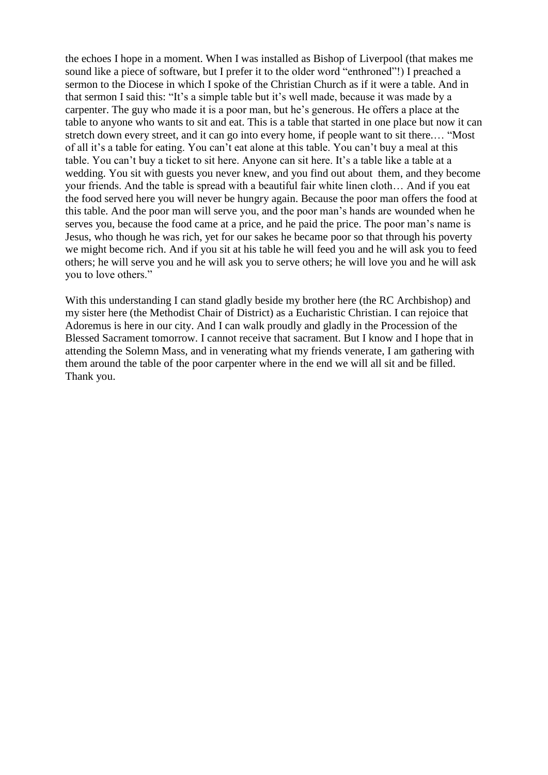the echoes I hope in a moment. When I was installed as Bishop of Liverpool (that makes me sound like a piece of software, but I prefer it to the older word "enthroned"!) I preached a sermon to the Diocese in which I spoke of the Christian Church as if it were a table. And in that sermon I said this: "It's a simple table but it's well made, because it was made by a carpenter. The guy who made it is a poor man, but he's generous. He offers a place at the table to anyone who wants to sit and eat. This is a table that started in one place but now it can stretch down every street, and it can go into every home, if people want to sit there.… "Most of all it's a table for eating. You can't eat alone at this table. You can't buy a meal at this table. You can't buy a ticket to sit here. Anyone can sit here. It's a table like a table at a wedding. You sit with guests you never knew, and you find out about them, and they become your friends. And the table is spread with a beautiful fair white linen cloth… And if you eat the food served here you will never be hungry again. Because the poor man offers the food at this table. And the poor man will serve you, and the poor man's hands are wounded when he serves you, because the food came at a price, and he paid the price. The poor man's name is Jesus, who though he was rich, yet for our sakes he became poor so that through his poverty we might become rich. And if you sit at his table he will feed you and he will ask you to feed others; he will serve you and he will ask you to serve others; he will love you and he will ask you to love others."

With this understanding I can stand gladly beside my brother here (the RC Archbishop) and my sister here (the Methodist Chair of District) as a Eucharistic Christian. I can rejoice that Adoremus is here in our city. And I can walk proudly and gladly in the Procession of the Blessed Sacrament tomorrow. I cannot receive that sacrament. But I know and I hope that in attending the Solemn Mass, and in venerating what my friends venerate, I am gathering with them around the table of the poor carpenter where in the end we will all sit and be filled. Thank you.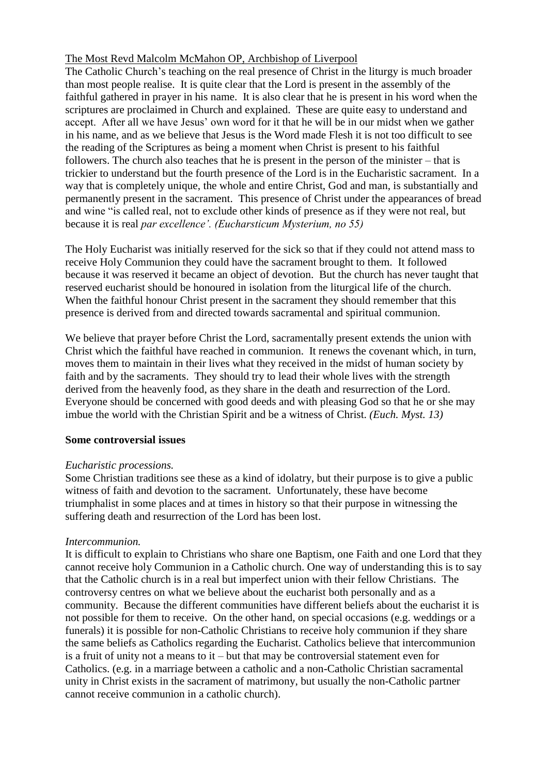## The Most Revd Malcolm McMahon OP, Archbishop of Liverpool

The Catholic Church's teaching on the real presence of Christ in the liturgy is much broader than most people realise. It is quite clear that the Lord is present in the assembly of the faithful gathered in prayer in his name. It is also clear that he is present in his word when the scriptures are proclaimed in Church and explained. These are quite easy to understand and accept. After all we have Jesus' own word for it that he will be in our midst when we gather in his name, and as we believe that Jesus is the Word made Flesh it is not too difficult to see the reading of the Scriptures as being a moment when Christ is present to his faithful followers. The church also teaches that he is present in the person of the minister – that is trickier to understand but the fourth presence of the Lord is in the Eucharistic sacrament. In a way that is completely unique, the whole and entire Christ, God and man, is substantially and permanently present in the sacrament. This presence of Christ under the appearances of bread and wine "is called real, not to exclude other kinds of presence as if they were not real, but because it is real *par excellence'. (Eucharsticum Mysterium, no 55)*

The Holy Eucharist was initially reserved for the sick so that if they could not attend mass to receive Holy Communion they could have the sacrament brought to them. It followed because it was reserved it became an object of devotion. But the church has never taught that reserved eucharist should be honoured in isolation from the liturgical life of the church. When the faithful honour Christ present in the sacrament they should remember that this presence is derived from and directed towards sacramental and spiritual communion.

We believe that prayer before Christ the Lord, sacramentally present extends the union with Christ which the faithful have reached in communion. It renews the covenant which, in turn, moves them to maintain in their lives what they received in the midst of human society by faith and by the sacraments. They should try to lead their whole lives with the strength derived from the heavenly food, as they share in the death and resurrection of the Lord. Everyone should be concerned with good deeds and with pleasing God so that he or she may imbue the world with the Christian Spirit and be a witness of Christ. *(Euch. Myst. 13)*

### **Some controversial issues**

#### *Eucharistic processions.*

Some Christian traditions see these as a kind of idolatry, but their purpose is to give a public witness of faith and devotion to the sacrament. Unfortunately, these have become triumphalist in some places and at times in history so that their purpose in witnessing the suffering death and resurrection of the Lord has been lost.

#### *Intercommunion.*

It is difficult to explain to Christians who share one Baptism, one Faith and one Lord that they cannot receive holy Communion in a Catholic church. One way of understanding this is to say that the Catholic church is in a real but imperfect union with their fellow Christians. The controversy centres on what we believe about the eucharist both personally and as a community. Because the different communities have different beliefs about the eucharist it is not possible for them to receive. On the other hand, on special occasions (e.g. weddings or a funerals) it is possible for non-Catholic Christians to receive holy communion if they share the same beliefs as Catholics regarding the Eucharist. Catholics believe that intercommunion is a fruit of unity not a means to  $it$  – but that may be controversial statement even for Catholics. (e.g. in a marriage between a catholic and a non-Catholic Christian sacramental unity in Christ exists in the sacrament of matrimony, but usually the non-Catholic partner cannot receive communion in a catholic church).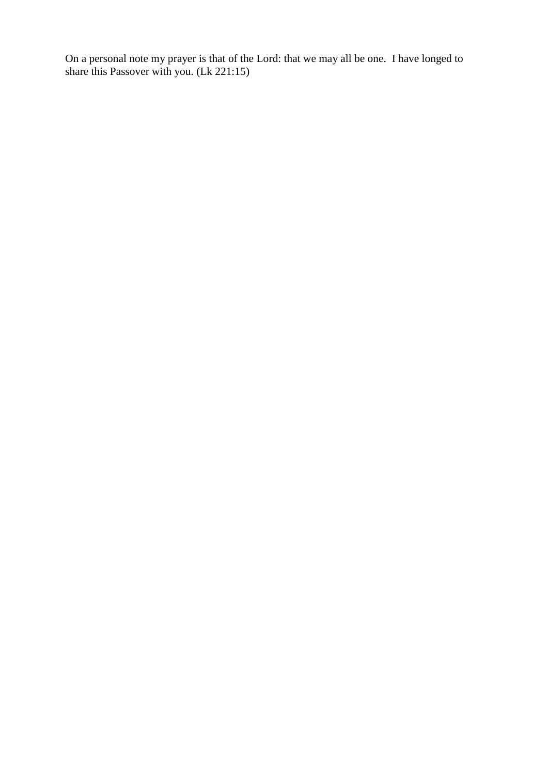On a personal note my prayer is that of the Lord: that we may all be one. I have longed to share this Passover with you. (Lk 221:15)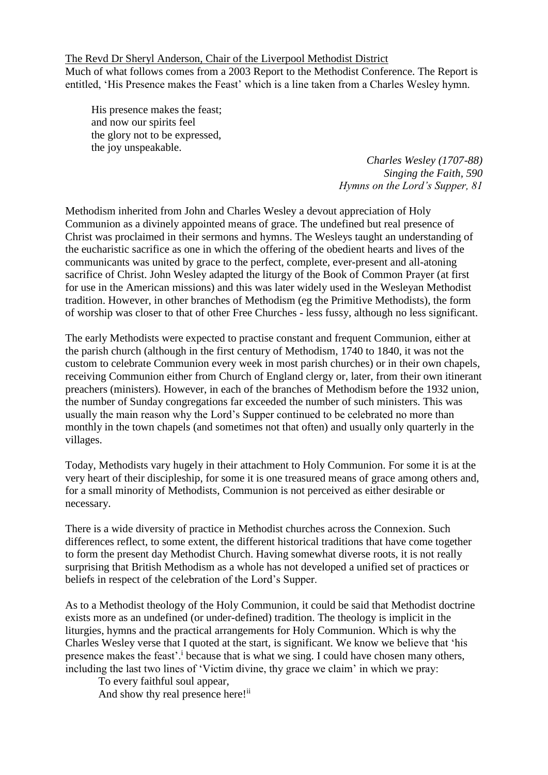The Revd Dr Sheryl Anderson, Chair of the Liverpool Methodist District

Much of what follows comes from a 2003 Report to the Methodist Conference. The Report is entitled, 'His Presence makes the Feast' which is a line taken from a Charles Wesley hymn.

His presence makes the feast; and now our spirits feel the glory not to be expressed, the joy unspeakable.

> *Charles Wesley (1707-88) Singing the Faith, 590 Hymns on the Lord's Supper, 81*

Methodism inherited from John and Charles Wesley a devout appreciation of Holy Communion as a divinely appointed means of grace. The undefined but real presence of Christ was proclaimed in their sermons and hymns. The Wesleys taught an understanding of the eucharistic sacrifice as one in which the offering of the obedient hearts and lives of the communicants was united by grace to the perfect, complete, ever-present and all-atoning sacrifice of Christ. John Wesley adapted the liturgy of the Book of Common Prayer (at first for use in the American missions) and this was later widely used in the Wesleyan Methodist tradition. However, in other branches of Methodism (eg the Primitive Methodists), the form of worship was closer to that of other Free Churches - less fussy, although no less significant.

The early Methodists were expected to practise constant and frequent Communion, either at the parish church (although in the first century of Methodism, 1740 to 1840, it was not the custom to celebrate Communion every week in most parish churches) or in their own chapels, receiving Communion either from Church of England clergy or, later, from their own itinerant preachers (ministers). However, in each of the branches of Methodism before the 1932 union, the number of Sunday congregations far exceeded the number of such ministers. This was usually the main reason why the Lord's Supper continued to be celebrated no more than monthly in the town chapels (and sometimes not that often) and usually only quarterly in the villages.

Today, Methodists vary hugely in their attachment to Holy Communion. For some it is at the very heart of their discipleship, for some it is one treasured means of grace among others and, for a small minority of Methodists, Communion is not perceived as either desirable or necessary.

There is a wide diversity of practice in Methodist churches across the Connexion. Such differences reflect, to some extent, the different historical traditions that have come together to form the present day Methodist Church. Having somewhat diverse roots, it is not really surprising that British Methodism as a whole has not developed a unified set of practices or beliefs in respect of the celebration of the Lord's Supper.

As to a Methodist theology of the Holy Communion, it could be said that Methodist doctrine exists more as an undefined (or under-defined) tradition. The theology is implicit in the liturgies, hymns and the practical arrangements for Holy Communion. Which is why the Charles Wesley verse that I quoted at the start, is significant. We know we believe that 'his presence makes the feast'.<sup>i</sup> because that is what we sing. I could have chosen many others, including the last two lines of 'Victim divine, thy grace we claim' in which we pray:

To every faithful soul appear, And show thy real presence here!<sup>ii</sup>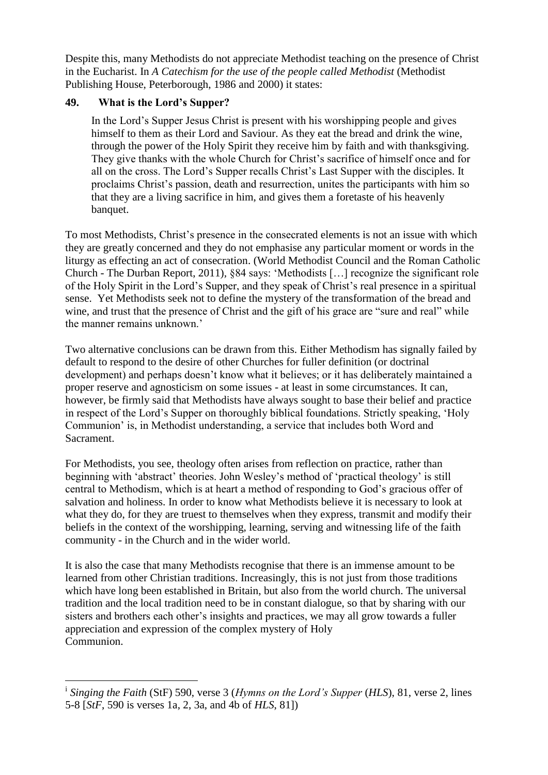Despite this, many Methodists do not appreciate Methodist teaching on the presence of Christ in the Eucharist. In *A Catechism for the use of the people called Methodist* (Methodist Publishing House, Peterborough, 1986 and 2000) it states:

### **49. What is the Lord's Supper?**

 $\overline{a}$ 

In the Lord's Supper Jesus Christ is present with his worshipping people and gives himself to them as their Lord and Saviour. As they eat the bread and drink the wine, through the power of the Holy Spirit they receive him by faith and with thanksgiving. They give thanks with the whole Church for Christ's sacrifice of himself once and for all on the cross. The Lord's Supper recalls Christ's Last Supper with the disciples. It proclaims Christ's passion, death and resurrection, unites the participants with him so that they are a living sacrifice in him, and gives them a foretaste of his heavenly banquet.

To most Methodists, Christ's presence in the consecrated elements is not an issue with which they are greatly concerned and they do not emphasise any particular moment or words in the liturgy as effecting an act of consecration. (World Methodist Council and the Roman Catholic Church - The Durban Report, 2011)*,* §84 says: 'Methodists […] recognize the significant role of the Holy Spirit in the Lord's Supper, and they speak of Christ's real presence in a spiritual sense. Yet Methodists seek not to define the mystery of the transformation of the bread and wine, and trust that the presence of Christ and the gift of his grace are "sure and real" while the manner remains unknown.'

Two alternative conclusions can be drawn from this. Either Methodism has signally failed by default to respond to the desire of other Churches for fuller definition (or doctrinal development) and perhaps doesn't know what it believes; or it has deliberately maintained a proper reserve and agnosticism on some issues - at least in some circumstances. It can, however, be firmly said that Methodists have always sought to base their belief and practice in respect of the Lord's Supper on thoroughly biblical foundations. Strictly speaking, 'Holy Communion' is, in Methodist understanding, a service that includes both Word and Sacrament.

For Methodists, you see, theology often arises from reflection on practice, rather than beginning with 'abstract' theories. John Wesley's method of 'practical theology' is still central to Methodism, which is at heart a method of responding to God's gracious offer of salvation and holiness. In order to know what Methodists believe it is necessary to look at what they do, for they are truest to themselves when they express, transmit and modify their beliefs in the context of the worshipping, learning, serving and witnessing life of the faith community - in the Church and in the wider world.

It is also the case that many Methodists recognise that there is an immense amount to be learned from other Christian traditions. Increasingly, this is not just from those traditions which have long been established in Britain, but also from the world church. The universal tradition and the local tradition need to be in constant dialogue, so that by sharing with our sisters and brothers each other's insights and practices, we may all grow towards a fuller appreciation and expression of the complex mystery of Holy Communion.

i *Singing the Faith* (StF) 590, verse 3 (*Hymns on the Lord's Supper* (*HLS*), 81, verse 2, lines 5-8 [*StF*, 590 is verses 1a, 2, 3a, and 4b of *HLS*, 81])